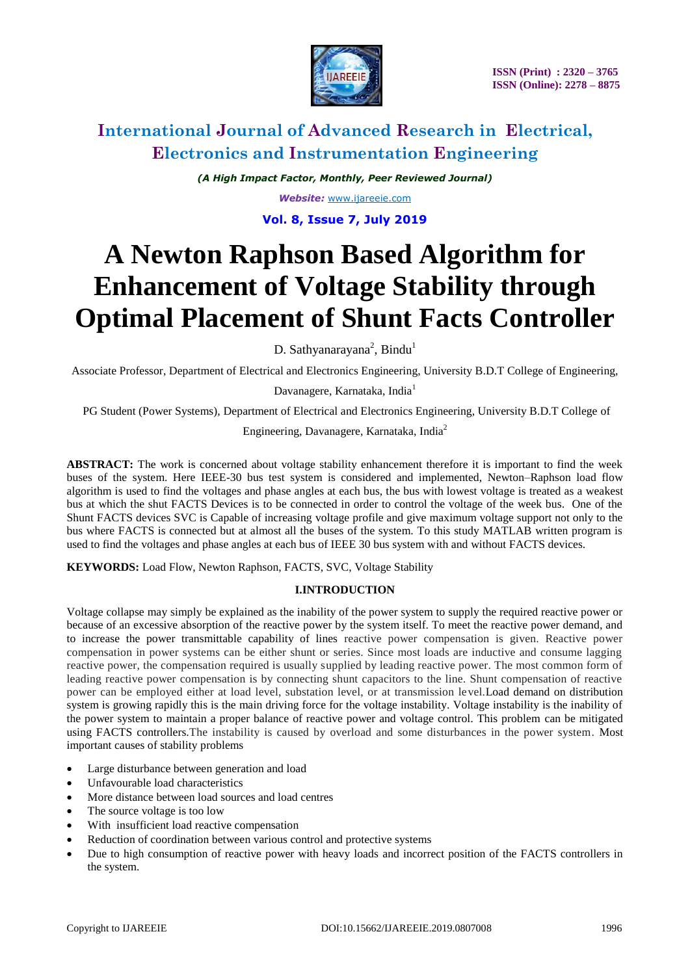

*(A High Impact Factor, Monthly, Peer Reviewed Journal) Website:* [www.ijareeie.com](http://www.ijareeie.com/)

**Vol. 8, Issue 7, July 2019**

# **A Newton Raphson Based Algorithm for Enhancement of Voltage Stability through Optimal Placement of Shunt Facts Controller**

D. Sathyanarayana<sup>2</sup>, Bindu<sup>1</sup>

Associate Professor, Department of Electrical and Electronics Engineering, University B.D.T College of Engineering,

Davanagere, Karnataka, India<sup>1</sup>

PG Student (Power Systems), Department of Electrical and Electronics Engineering, University B.D.T College of

Engineering, Davanagere, Karnataka, India<sup>2</sup>

**ABSTRACT:** The work is concerned about voltage stability enhancement therefore it is important to find the week buses of the system. Here IEEE-30 bus test system is considered and implemented, Newton–Raphson load flow algorithm is used to find the voltages and phase angles at each bus, the bus with lowest voltage is treated as a weakest bus at which the shut FACTS Devices is to be connected in order to control the voltage of the week bus. One of the Shunt FACTS devices SVC is Capable of increasing voltage profile and give maximum voltage support not only to the bus where FACTS is connected but at almost all the buses of the system. To this study MATLAB written program is used to find the voltages and phase angles at each bus of IEEE 30 bus system with and without FACTS devices.

**KEYWORDS:** Load Flow, Newton Raphson, FACTS, SVC, Voltage Stability

### **I.INTRODUCTION**

Voltage collapse may simply be explained as the inability of the power system to supply the required reactive power or because of an excessive absorption of the reactive power by the system itself. To meet the reactive power demand, and to increase the power transmittable capability of lines reactive power compensation is given. Reactive power compensation in power systems can be either shunt or series. Since most loads are inductive and consume lagging reactive power, the compensation required is usually supplied by leading reactive power. The most common form of leading reactive power compensation is by connecting shunt capacitors to the line. Shunt compensation of reactive power can be employed either at load level, substation level, or at transmission level.Load demand on distribution system is growing rapidly this is the main driving force for the voltage instability. Voltage instability is the inability of the power system to maintain a proper balance of reactive power and voltage control. This problem can be mitigated using FACTS controllers.The instability is caused by overload and some disturbances in the power system. Most important causes of stability problems

- Large disturbance between generation and load
- Unfavourable load characteristics
- More distance between load sources and load centres
- The source voltage is too low
- With insufficient load reactive compensation
- Reduction of coordination between various control and protective systems
- Due to high consumption of reactive power with heavy loads and incorrect position of the FACTS controllers in the system.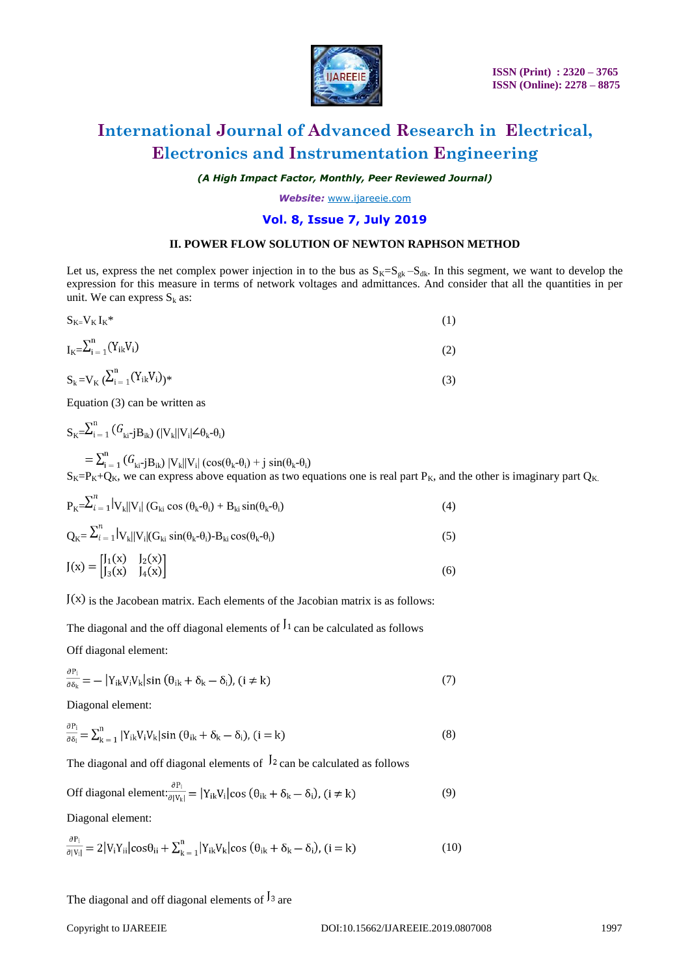

*(A High Impact Factor, Monthly, Peer Reviewed Journal)*

*Website:* [www.ijareeie.com](http://www.ijareeie.com/)

### **Vol. 8, Issue 7, July 2019**

#### **II. POWER FLOW SOLUTION OF NEWTON RAPHSON METHOD**

Let us, express the net complex power injection in to the bus as  $S_K=S_{gk}-S_{dk}$ . In this segment, we want to develop the expression for this measure in terms of network voltages and admittances. And consider that all the quantities in per unit. We can express  $S_k$  as:

$$
S_{K=}V_{K}I_{K}^{*}
$$
\n(1)  
\n
$$
I_{K=} \sum_{i=1}^{n} (Y_{ik}V_{i})
$$
\n(2)  
\n
$$
S_{k=}V_{K} (\sum_{i=1}^{n} (Y_{ik}V_{i}))^{*}
$$
\n(3)

Equation (3) can be written as

$$
S_{K} = \sum_{i=1}^{n} (G_{ki-j}B_{ik}) (|V_k||V_i| \angle \theta_k - \theta_i)
$$
  
= 
$$
\sum_{i=1}^{n} (G_{ki-j}B_{ik}) |V_k||V_i| (cos(\theta_k - \theta_i) + j sin(\theta_k - \theta_i))
$$
  

$$
S_{K} = P_{K} + Q_{K}
$$
, we can express above equation as two equations one is real part  $P_{K}$ , and the other is imaginary part  $Q_{K}$ .

$$
P_{K} = \sum_{i=1}^{n} |V_{k}||V_{i}| (G_{ki} \cos (\theta_{k} - \theta_{i}) + B_{ki} \sin(\theta_{k} - \theta_{i})
$$
\n(4)

$$
Q_{K} = \sum_{i=1}^{N} |V_{k}||V_{i}|(G_{ki} \sin(\theta_{k} - \theta_{i}) - B_{ki} \cos(\theta_{k} - \theta_{i})
$$
\n(5)

$$
J(x) = \begin{bmatrix} J_1(x) & J_2(x) \\ J_3(x) & J_4(x) \end{bmatrix}
$$
 (6)

 $J(x)$  is the Jacobean matrix. Each elements of the Jacobian matrix is as follows:

The diagonal and the off diagonal elements of  $\frac{1}{1}$  can be calculated as follows

Off diagonal element:

 $\overline{\phantom{a}}$ 

 $\sim$ 

$$
\frac{\partial P_i}{\partial \delta_k} = -\left| Y_{ik} V_i V_k \right| \sin \left( \theta_{ik} + \delta_k - \delta_i \right), \quad (i \neq k)
$$
\n<sup>(7)</sup>

Diagonal element:

$$
\frac{\partial P_i}{\partial \delta_i} = \sum_{k=1}^n |Y_{ik} V_i V_k| \sin (\theta_{ik} + \delta_k - \delta_i), (i = k)
$$
\n(8)

The diagonal and off diagonal elements of  $\frac{1}{2}$  can be calculated as follows

Off diagonal element: 
$$
\frac{\partial P_i}{\partial |V_k|} = |Y_{ik}V_i|\cos(\theta_{ik} + \delta_k - \delta_i)
$$
,  $(i \neq k)$  (9)

Diagonal element:

$$
\frac{\partial P_i}{\partial |V_i|} = 2|V_i Y_{ii}| \cos \theta_{ii} + \sum_{k=1}^n |Y_{ik} V_k| \cos (\theta_{ik} + \delta_k - \delta_i), (i = k)
$$
\n(10)

### The diagonal and off diagonal elements of  $\frac{1}{3}$  are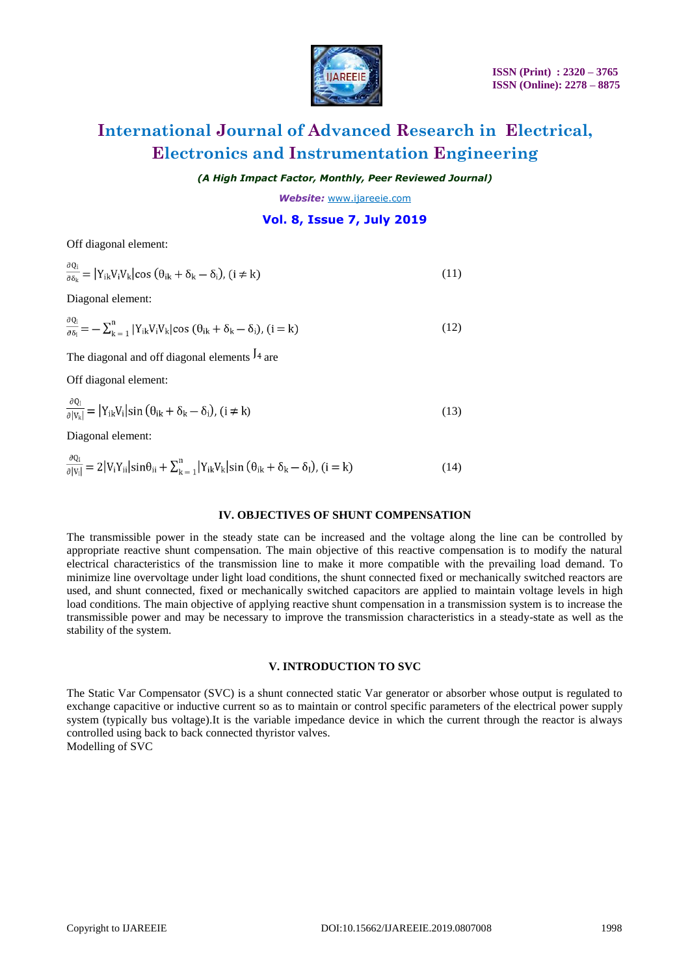

*(A High Impact Factor, Monthly, Peer Reviewed Journal)*

*Website:* [www.ijareeie.com](http://www.ijareeie.com/)

### **Vol. 8, Issue 7, July 2019**

Off diagonal element:

| $\frac{\partial Q_i}{\partial \delta_k} =  Y_{ik} V_i V_k  \cos (\theta_{ik} + \delta_k - \delta_i), (i \neq k)$        | (11) |
|-------------------------------------------------------------------------------------------------------------------------|------|
| Diagonal element:                                                                                                       |      |
| $\frac{\partial Q_i}{\partial \delta_i} = -\sum_{k=1}^n  Y_{ik}V_iV_k \cos(\theta_{ik} + \delta_k - \delta_i), (i = k)$ | (12) |
| The diagonal and off diagonal elements $J_4$ are                                                                        |      |
| Off diagonal element:                                                                                                   |      |
| $\frac{\partial Q_i}{\partial  V_{k} }$ = $ Y_{ik}V_i \sin(\theta_{ik} + \delta_k - \delta_i)$ , (i $\neq k$ )          | (13) |
|                                                                                                                         |      |

Diagonal element:

 $\overline{a}$ 

$$
\frac{\partial Q_i}{\partial |V_i|} = 2|V_i Y_{ii}| \sin \theta_{ii} + \sum_{k=1}^n |Y_{ik} V_k| \sin (\theta_{ik} + \delta_k - \delta_l), (i = k)
$$
\n(14)

### **IV. OBJECTIVES OF SHUNT COMPENSATION**

The transmissible power in the steady state can be increased and the voltage along the line can be controlled by appropriate reactive shunt compensation. The main objective of this reactive compensation is to modify the natural electrical characteristics of the transmission line to make it more compatible with the prevailing load demand. To minimize line overvoltage under light load conditions, the shunt connected fixed or mechanically switched reactors are used, and shunt connected, fixed or mechanically switched capacitors are applied to maintain voltage levels in high load conditions. The main objective of applying reactive shunt compensation in a transmission system is to increase the transmissible power and may be necessary to improve the transmission characteristics in a steady-state as well as the stability of the system.

#### **V. INTRODUCTION TO SVC**

The Static Var Compensator (SVC) is a shunt connected static Var generator or absorber whose output is regulated to exchange capacitive or inductive current so as to maintain or control specific parameters of the electrical power supply system (typically bus voltage).It is the variable impedance device in which the current through the reactor is always controlled using back to back connected thyristor valves. Modelling of SVC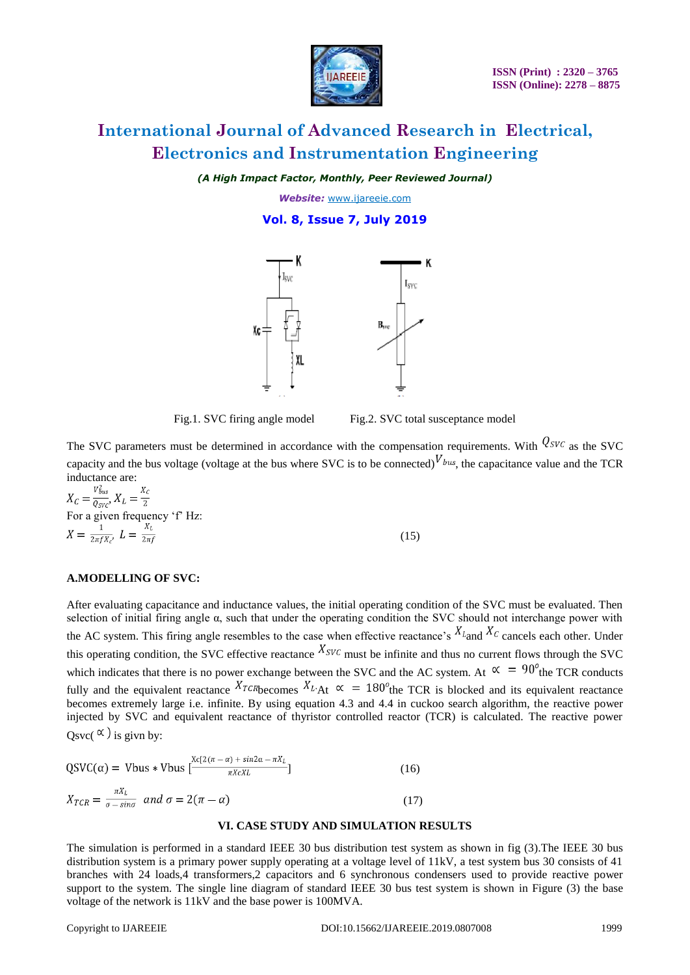

*(A High Impact Factor, Monthly, Peer Reviewed Journal)*

*Website:* [www.ijareeie.com](http://www.ijareeie.com/)

**Vol. 8, Issue 7, July 2019**



Fig.1. SVC firing angle model Fig.2. SVC total susceptance model

The SVC parameters must be determined in accordance with the compensation requirements. With  $Q_{SVC}$  as the SVC capacity and the bus voltage (voltage at the bus where SVC is to be connected)  $V_{bus}$ , the capacitance value and the TCR inductance are:

 $X_c = \frac{V_{bus}^2}{Q_{SVC}}$ ,  $X_L = \frac{X_c}{2}$ For a given frequency 'f' Hz:<br>  $X = \frac{1}{2\pi f X_c} L = \frac{X_L}{2\pi f}$ (15)

#### **A.MODELLING OF SVC:**

After evaluating capacitance and inductance values, the initial operating condition of the SVC must be evaluated. Then selection of initial firing angle  $\alpha$ , such that under the operating condition the SVC should not interchange power with the AC system. This firing angle resembles to the case when effective reactance's  $X_{L}$  and  $X_{C}$  cancels each other. Under this operating condition, the SVC effective reactance  $X_{SVC}$  must be infinite and thus no current flows through the SVC which indicates that there is no power exchange between the SVC and the AC system. At  $\alpha = 90^\circ$  the TCR conducts fully and the equivalent reactance  $X_{L\text{R}} \propto \frac{X_{L\text{R}}}{\Delta t} \propto 180^\circ$  the TCR is blocked and its equivalent reactance becomes extremely large i.e. infinite. By using equation 4.3 and 4.4 in cuckoo search algorithm, the reactive power injected by SVC and equivalent reactance of thyristor controlled reactor (TCR) is calculated. The reactive power Osvc( $\alpha$ ) is givn by:

$$
QSVC(\alpha) = Vbus * Vbus \left[ \frac{Xc[2(\pi - \alpha) + sin2\alpha - \pi X_L]}{\pi X c X L} \right]
$$
\n
$$
X_{TCR} = \frac{\pi X_L}{\sigma - sin\sigma} \quad and \quad \sigma = 2(\pi - \alpha)
$$
\n(17)

#### **VI. CASE STUDY AND SIMULATION RESULTS**

The simulation is performed in a standard IEEE 30 bus distribution test system as shown in fig (3).The IEEE 30 bus distribution system is a primary power supply operating at a voltage level of 11kV, a test system bus 30 consists of 41 branches with 24 loads,4 transformers,2 capacitors and 6 synchronous condensers used to provide reactive power support to the system. The single line diagram of standard IEEE 30 bus test system is shown in Figure (3) the base voltage of the network is 11kV and the base power is 100MVA.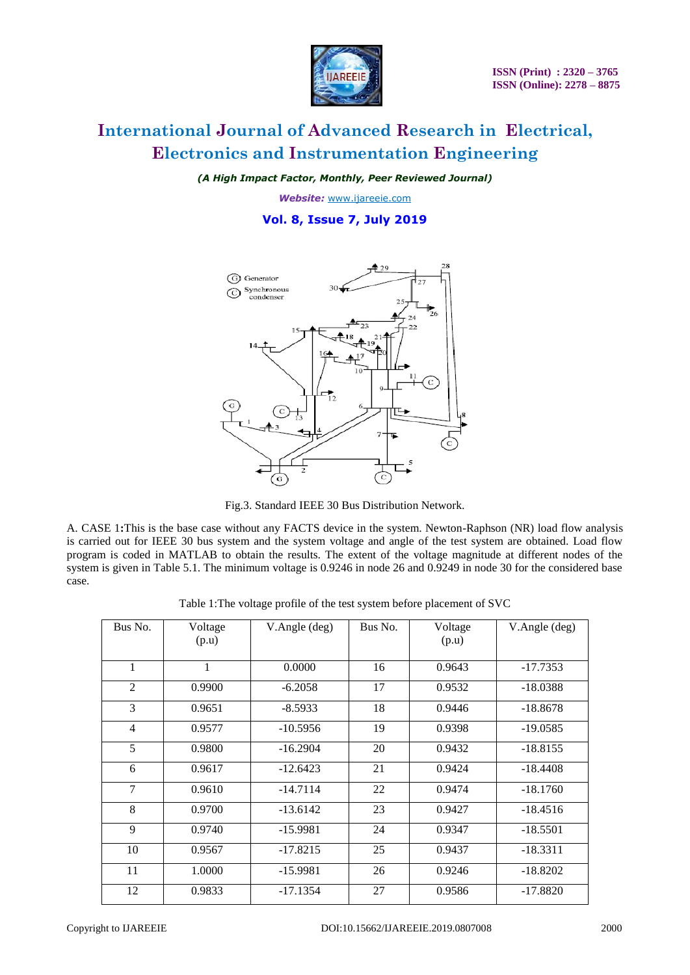

*(A High Impact Factor, Monthly, Peer Reviewed Journal)*

*Website:* [www.ijareeie.com](http://www.ijareeie.com/)

**Vol. 8, Issue 7, July 2019**



Fig.3. Standard IEEE 30 Bus Distribution Network.

A. CASE 1**:**This is the base case without any FACTS device in the system. Newton-Raphson (NR) load flow analysis is carried out for IEEE 30 bus system and the system voltage and angle of the test system are obtained. Load flow program is coded in MATLAB to obtain the results. The extent of the voltage magnitude at different nodes of the system is given in Table 5.1. The minimum voltage is 0.9246 in node 26 and 0.9249 in node 30 for the considered base case.

Table 1:The voltage profile of the test system before placement of SVC

| Bus No.        | Voltage<br>(p.u) | V.Angle (deg) | Bus No. | Voltage<br>(p.u) | V.Angle (deg) |
|----------------|------------------|---------------|---------|------------------|---------------|
| 1              | 1                | 0.0000        | 16      | 0.9643           | $-17.7353$    |
| $\overline{2}$ | 0.9900           | $-6.2058$     | 17      | 0.9532           | $-18.0388$    |
| 3              | 0.9651           | $-8.5933$     | 18      | 0.9446           | $-18.8678$    |
| $\overline{4}$ | 0.9577           | $-10.5956$    | 19      | 0.9398           | $-19.0585$    |
| 5              | 0.9800           | $-16.2904$    | 20      | 0.9432           | $-18.8155$    |
| 6              | 0.9617           | $-12.6423$    | 21      | 0.9424           | $-18.4408$    |
| 7              | 0.9610           | $-14.7114$    | 22      | 0.9474           | $-18.1760$    |
| 8              | 0.9700           | $-13.6142$    | 23      | 0.9427           | $-18.4516$    |
| 9              | 0.9740           | $-15.9981$    | 24      | 0.9347           | $-18.5501$    |
| 10             | 0.9567           | $-17.8215$    | 25      | 0.9437           | $-18.3311$    |
| 11             | 1.0000           | $-15.9981$    | 26      | 0.9246           | $-18.8202$    |
| 12             | 0.9833           | $-17.1354$    | 27      | 0.9586           | $-17.8820$    |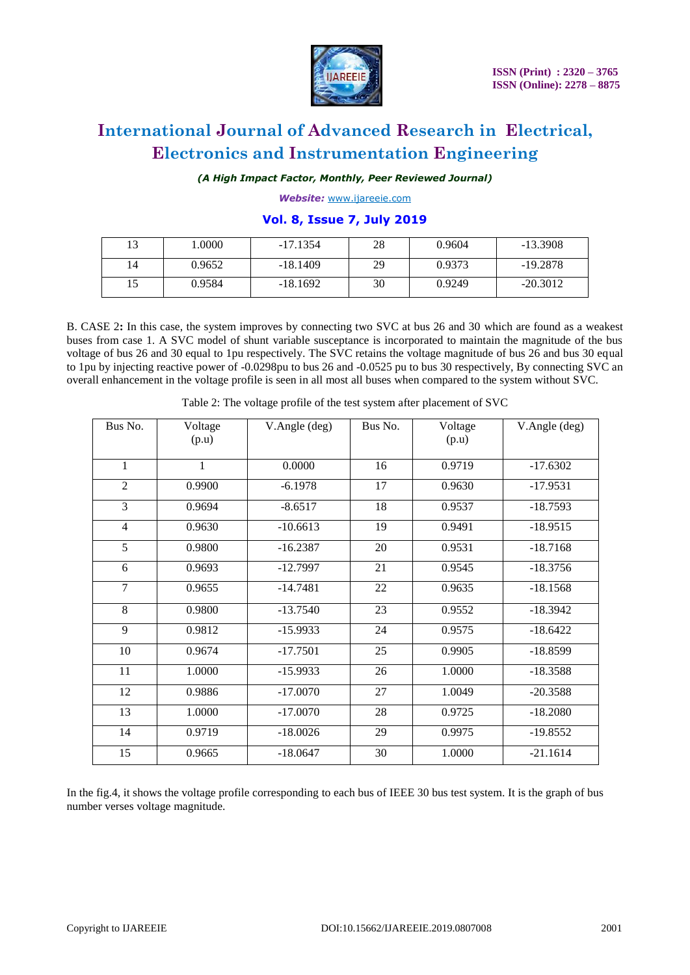

*(A High Impact Factor, Monthly, Peer Reviewed Journal)*

*Website:* [www.ijareeie.com](http://www.ijareeie.com/)

### **Vol. 8, Issue 7, July 2019**

| 12 | .0000  | $-17.1354$ | 28 | 0.9604 | $-13.3908$ |
|----|--------|------------|----|--------|------------|
| 14 | 0.9652 | $-18.1409$ | 29 | 0.9373 | $-19.2878$ |
|    | 0.9584 | $-18.1692$ | 30 | 0.9249 | $-20.3012$ |

B. CASE 2**:** In this case, the system improves by connecting two SVC at bus 26 and 30 which are found as a weakest buses from case 1. A SVC model of shunt variable susceptance is incorporated to maintain the magnitude of the bus voltage of bus 26 and 30 equal to 1pu respectively. The SVC retains the voltage magnitude of bus 26 and bus 30 equal to 1pu by injecting reactive power of -0.0298pu to bus 26 and -0.0525 pu to bus 30 respectively, By connecting SVC an overall enhancement in the voltage profile is seen in all most all buses when compared to the system without SVC.

| Bus No.        | Voltage<br>(p.u) | V.Angle (deg) | Bus No. | Voltage<br>(p.u) | V.Angle (deg) |
|----------------|------------------|---------------|---------|------------------|---------------|
|                |                  |               |         |                  |               |
| $\mathbf{1}$   | 1                | 0.0000        | 16      | 0.9719           | $-17.6302$    |
| 2              | 0.9900           | $-6.1978$     | 17      | 0.9630           | $-17.9531$    |
| 3              | 0.9694           | $-8.6517$     | 18      | 0.9537           | $-18.7593$    |
| $\overline{4}$ | 0.9630           | $-10.6613$    | 19      | 0.9491           | $-18.9515$    |
| 5              | 0.9800           | $-16.2387$    | 20      | 0.9531           | $-18.7168$    |
| 6              | 0.9693           | $-12.7997$    | 21      | 0.9545           | $-18.3756$    |
| $\overline{7}$ | 0.9655           | $-14.7481$    | 22      | 0.9635           | $-18.1568$    |
| 8              | 0.9800           | $-13.7540$    | 23      | 0.9552           | $-18.3942$    |
| $\mathbf{Q}$   | 0.9812           | $-15.9933$    | 24      | 0.9575           | $-18.6422$    |
| 10             | 0.9674           | $-17.7501$    | 25      | 0.9905           | $-18.8599$    |
| 11             | 1.0000           | $-15.9933$    | 26      | 1.0000           | $-18.3588$    |
| 12             | 0.9886           | $-17.0070$    | 27      | 1.0049           | $-20.3588$    |
| 13             | 1.0000           | $-17.0070$    | 28      | 0.9725           | $-18.2080$    |
| 14             | 0.9719           | $-18.0026$    | 29      | 0.9975           | $-19.8552$    |
| 15             | 0.9665           | $-18.0647$    | 30      | 1.0000           | $-21.1614$    |

Table 2: The voltage profile of the test system after placement of SVC

In the fig.4, it shows the voltage profile corresponding to each bus of IEEE 30 bus test system. It is the graph of bus number verses voltage magnitude.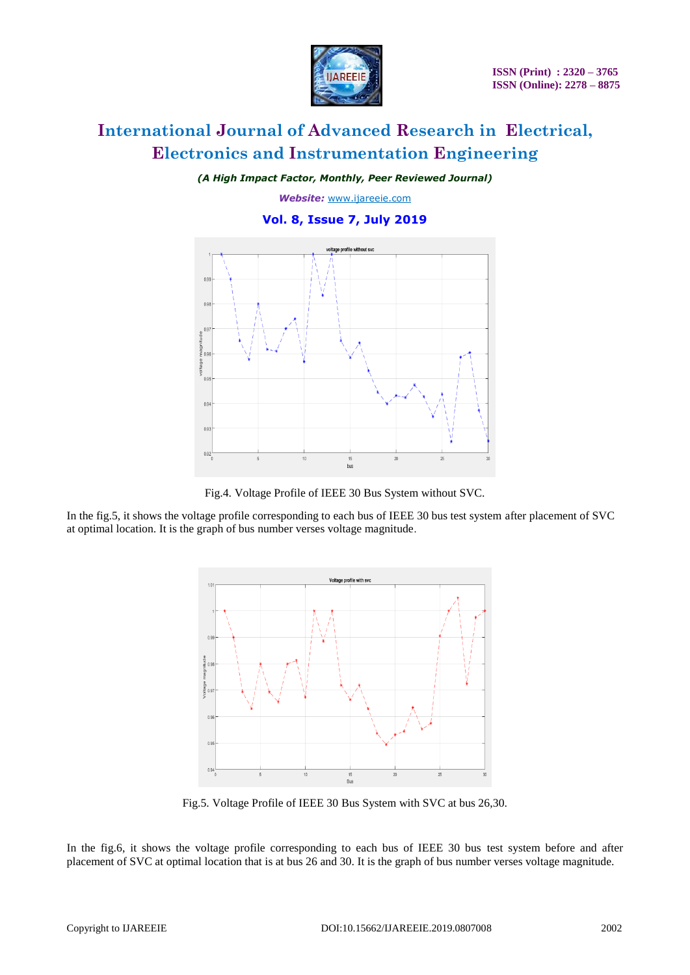

*(A High Impact Factor, Monthly, Peer Reviewed Journal)*

*Website:* [www.ijareeie.com](http://www.ijareeie.com/)

### **Vol. 8, Issue 7, July 2019**



Fig.4. Voltage Profile of IEEE 30 Bus System without SVC.

In the fig.5, it shows the voltage profile corresponding to each bus of IEEE 30 bus test system after placement of SVC at optimal location. It is the graph of bus number verses voltage magnitude.



Fig.5. Voltage Profile of IEEE 30 Bus System with SVC at bus 26,30.

In the fig.6, it shows the voltage profile corresponding to each bus of IEEE 30 bus test system before and after placement of SVC at optimal location that is at bus 26 and 30. It is the graph of bus number verses voltage magnitude.